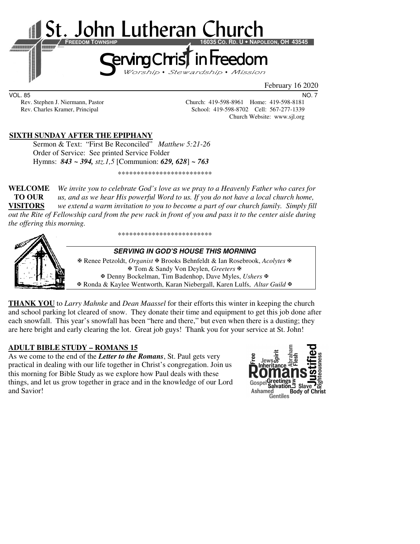

VOL. 85 NO. 7

Rev. Stephen J. Niermann, Pastor Church: 419-598-8961 Home: 419-598-8181 Rev. Charles Kramer, Principal School: 419-598-8702 Cell: 567-277-1339 Church Website: www.sjl.org

## **SIXTH SUNDAY AFTER THE EPIPHANY**

Sermon & Text: "First Be Reconciled" *Matthew 5:21-26*  Order of Service: See printed Service Folder Hymns: *843 ~ 394, stz.1,5* [Communion: *629, 628*] *~ 763*

\*\*\*\*\*\*\*\*\*\*\*\*\*\*\*\*\*\*\*\*\*\*\*\*\*

**WELCOME** *We invite you to celebrate God's love as we pray to a Heavenly Father who cares for* **TO OUR** *us, and as we hear His powerful Word to us. If you do not have a local church home,*  **VISITORS** *we extend a warm invitation to you to become a part of our church family. Simply fill out the Rite of Fellowship card from the pew rack in front of you and pass it to the center aisle during the offering this morning.* 

\*\*\*\*\*\*\*\*\*\*\*\*\*\*\*\*\*\*\*\*\*\*\*\*\*



**SERVING IN GOD'S HOUSE THIS MORNING** 

 Renee Petzoldt, *Organist* Brooks Behnfeldt & Ian Rosebrook, *Acolytes* Tom & Sandy Von Deylen, *Greeters* Denny Bockelman, Tim Badenhop, Dave Myles, *Ushers* Ronda & Kaylee Wentworth, Karan Niebergall, Karen Lulfs, *Altar Guild*

**THANK YOU** to *Larry Mahnke* and *Dean Maassel* for their efforts this winter in keeping the church and school parking lot cleared of snow. They donate their time and equipment to get this job done after each snowfall. This year's snowfall has been "here and there," but even when there is a dusting; they are here bright and early clearing the lot. Great job guys! Thank you for your service at St. John!

#### **ADULT BIBLE STUDY – ROMANS 15**

As we come to the end of the *Letter to the Romans*, St. Paul gets very practical in dealing with our life together in Christ's congregation. Join us this morning for Bible Study as we explore how Paul deals with these things, and let us grow together in grace and in the knowledge of our Lord and Savior!

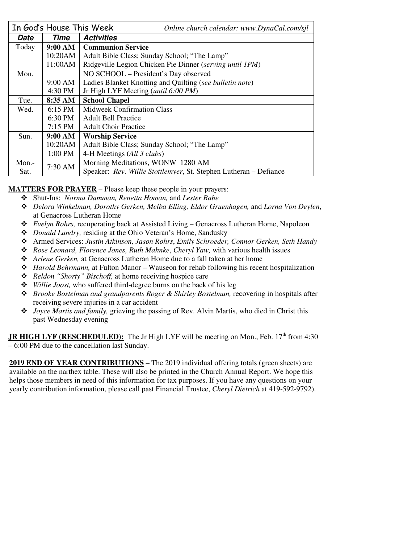|          | In God's House This Week | Online church calendar: www.DynaCal.com/sjl                       |  |  |
|----------|--------------------------|-------------------------------------------------------------------|--|--|
| Date     | Time                     | <b>Activities</b>                                                 |  |  |
| Today    | 9:00 AM                  | <b>Communion Service</b>                                          |  |  |
|          | 10:20AM                  | Adult Bible Class; Sunday School; "The Lamp"                      |  |  |
|          | 11:00AM                  | Ridgeville Legion Chicken Pie Dinner (serving until 1PM)          |  |  |
| Mon.     |                          | NO SCHOOL – President's Day observed                              |  |  |
|          | 9:00 AM                  | Ladies Blanket Knotting and Quilting (see bulletin note)          |  |  |
|          | 4:30 PM                  | Jr High LYF Meeting ( <i>until</i> 6:00 PM)                       |  |  |
| Tue.     | 8:35 AM                  | <b>School Chapel</b>                                              |  |  |
| Wed.     | $6:15 \text{ PM}$        | <b>Midweek Confirmation Class</b>                                 |  |  |
|          | 6:30 PM                  | <b>Adult Bell Practice</b>                                        |  |  |
|          | $7:15$ PM                | <b>Adult Choir Practice</b>                                       |  |  |
| Sun.     | 9:00 AM                  | <b>Worship Service</b>                                            |  |  |
|          | 10:20AM                  | Adult Bible Class; Sunday School; "The Lamp"                      |  |  |
|          | 1:00 PM                  | 4-H Meetings (All 3 clubs)                                        |  |  |
| $Mon. -$ | 7:30 AM                  | Morning Meditations, WONW 1280 AM                                 |  |  |
| Sat.     |                          | Speaker: Rev. Willie Stottlemyer, St. Stephen Lutheran - Defiance |  |  |

**MATTERS FOR PRAYER** – Please keep these people in your prayers:

- Shut-Ins: *Norma Damman, Renetta Homan,* and *Lester Rabe* 
	- *Delora Winkelman, Dorothy Gerken, Melba Elling, Eldor Gruenhagen,* and *Lorna Von Deylen*, at Genacross Lutheran Home
	- *Evelyn Rohrs,* recuperating back at Assisted Living Genacross Lutheran Home, Napoleon
	- *Donald Landry,* residing at the Ohio Veteran's Home, Sandusky
	- Armed Services: *Justin Atkinson, Jason Rohrs*, *Emily Schroeder, Connor Gerken, Seth Handy*
	- *Rose Leonard, Florence Jones, Ruth Mahnke*, *Cheryl Yaw,* with various health issues
	- *Arlene Gerken,* at Genacross Lutheran Home due to a fall taken at her home
	- *Harold Behrmann,* at Fulton Manor Wauseon for rehab following his recent hospitalization
	- *Reldon "Shorty" Bischoff,* at home receiving hospice care
	- *Willie Joost,* who suffered third-degree burns on the back of his leg
	- $\triangle$  *Brooke Bostelman and grandparents Roger & Shirley Bostelman, recovering in hospitals after* receiving severe injuries in a car accident
	- *Joyce Martis and family,* grieving the passing of Rev. Alvin Martis, who died in Christ this past Wednesday evening

**JR HIGH LYF (RESCHEDULED):** The Jr High LYF will be meeting on Mon., Feb. 17<sup>th</sup> from 4:30 – 6:00 PM due to the cancellation last Sunday.

**2019 END OF YEAR CONTRIBUTIONS** – The 2019 individual offering totals (green sheets) are available on the narthex table. These will also be printed in the Church Annual Report. We hope this helps those members in need of this information for tax purposes. If you have any questions on your yearly contribution information, please call past Financial Trustee, *Cheryl Dietrich* at 419-592-9792).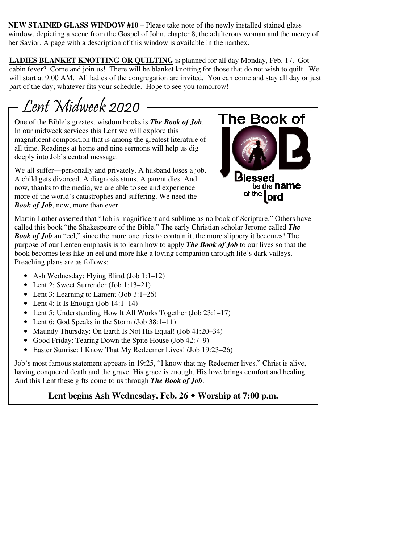**NEW STAINED GLASS WINDOW #10** – Please take note of the newly installed stained glass window, depicting a scene from the Gospel of John, chapter 8, the adulterous woman and the mercy of her Savior. A page with a description of this window is available in the narthex.

**LADIES BLANKET KNOTTING OR QUILTING** is planned for all day Monday, Feb. 17. Got cabin fever? Come and join us! There will be blanket knotting for those that do not wish to quilt. We will start at 9:00 AM. All ladies of the congregation are invited. You can come and stay all day or just part of the day; whatever fits your schedule. Hope to see you tomorrow!

# Lent Midweek 2020

One of the Bible's greatest wisdom books is *The Book of Job*. In our midweek services this Lent we will explore this magnificent composition that is among the greatest literature of all time. Readings at home and nine sermons will help us dig deeply into Job's central message.

We all suffer—personally and privately. A husband loses a job. A child gets divorced. A diagnosis stuns. A parent dies. And now, thanks to the media, we are able to see and experience more of the world's catastrophes and suffering. We need the *Book of Job*, now, more than ever.



Martin Luther asserted that "Job is magnificent and sublime as no book of Scripture." Others have called this book "the Shakespeare of the Bible." The early Christian scholar Jerome called *The Book of Job* an "eel," since the more one tries to contain it, the more slippery it becomes! The purpose of our Lenten emphasis is to learn how to apply *The Book of Job* to our lives so that the book becomes less like an eel and more like a loving companion through life's dark valleys. Preaching plans are as follows:

- Ash Wednesday: Flying Blind (Job 1:1–12)
- Lent 2: Sweet Surrender (Job 1:13–21)
- Lent 3: Learning to Lament (Job 3:1–26)
- Lent 4: It Is Enough (Job  $14:1-14$ )
- Lent 5: Understanding How It All Works Together (Job 23:1–17)
- Lent 6: God Speaks in the Storm (Job 38:1–11)
- Maundy Thursday: On Earth Is Not His Equal! (Job 41:20–34)
- Good Friday: Tearing Down the Spite House (Job 42:7–9)
- Easter Sunrise: I Know That My Redeemer Lives! (Job 19:23–26)

Job's most famous statement appears in 19:25, "I know that my Redeemer lives." Christ is alive, having conquered death and the grave. His grace is enough. His love brings comfort and healing. And this Lent these gifts come to us through *The Book of Job*.

**Lent begins Ash Wednesday, Feb. 26 Worship at 7:00 p.m.**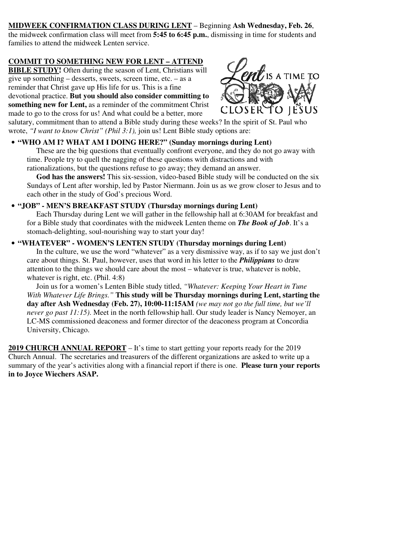## **MIDWEEK CONFIRMATION CLASS DURING LENT** – Beginning **Ash Wednesday, Feb. 26**,

the midweek confirmation class will meet from **5:45 to 6:45 p.m.**, dismissing in time for students and families to attend the midweek Lenten service.

#### **COMMIT TO SOMETHING NEW FOR LENT – ATTEND**

**BIBLE STUDY!** Often during the season of Lent, Christians will give up something – desserts, sweets, screen time, etc. – as a reminder that Christ gave up His life for us. This is a fine devotional practice. **But you should also consider committing to something new for Lent,** as a reminder of the commitment Christ made to go to the cross for us! And what could be a better, more



salutary, commitment than to attend a Bible study during these weeks? In the spirit of St. Paul who wrote, *"I want to know Christ" (Phil 3:1),* join us! Lent Bible study options are:

### • **"WHO AM I? WHAT AM I DOING HERE?" (Sunday mornings during Lent)**

 These are the big questions that eventually confront everyone, and they do not go away with time. People try to quell the nagging of these questions with distractions and with rationalizations, but the questions refuse to go away; they demand an answer.

 **God has the answers!** This six-session, video-based Bible study will be conducted on the six Sundays of Lent after worship, led by Pastor Niermann. Join us as we grow closer to Jesus and to each other in the study of God's precious Word.

#### • **"JOB" - MEN'S BREAKFAST STUDY (Thursday mornings during Lent)**

 Each Thursday during Lent we will gather in the fellowship hall at 6:30AM for breakfast and for a Bible study that coordinates with the midweek Lenten theme on *The Book of Job*. It's a stomach-delighting, soul-nourishing way to start your day!

### • **"WHATEVER" - WOMEN'S LENTEN STUDY (Thursday mornings during Lent)**

 In the culture, we use the word "whatever" as a very dismissive way, as if to say we just don't care about things. St. Paul, however, uses that word in his letter to the *Philippians* to draw attention to the things we should care about the most – whatever is true, whatever is noble, whatever is right, etc. (Phil. 4:8)

 Join us for a women's Lenten Bible study titled, *"Whatever: Keeping Your Heart in Tune With Whatever Life Brings."* **This study will be Thursday mornings during Lent, starting the day after Ash Wednesday (Feb. 27), 10:00-11:15AM** *(we may not go the full time, but we'll never go past 11:15)*. Meet in the north fellowship hall. Our study leader is Nancy Nemoyer, an LC-MS commissioned deaconess and former director of the deaconess program at Concordia University, Chicago.

**2019 CHURCH ANNUAL REPORT** – It's time to start getting your reports ready for the 2019 Church Annual. The secretaries and treasurers of the different organizations are asked to write up a summary of the year's activities along with a financial report if there is one. **Please turn your reports in to Joyce Wiechers ASAP.**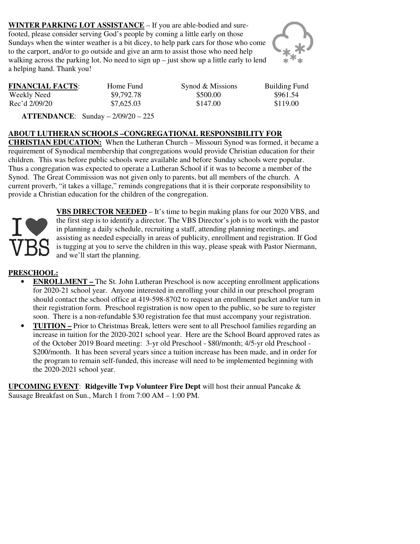**WINTER PARKING LOT ASSISTANCE** – If you are able-bodied and surefooted, please consider serving God's people by coming a little early on those Sundays when the winter weather is a bit dicey, to help park cars for those who come to the carport, and/or to go outside and give an arm to assist those who need help walking across the parking lot. No need to sign  $up$  – just show up a little early to lend a helping hand. Thank you!



| <b>FINANCIAL FACTS:</b> | Home Fund  | Synod & Missions | <b>Building Fu</b> |
|-------------------------|------------|------------------|--------------------|
| Weekly Need             | \$9,792.78 | \$500.00         | \$961.54           |
| Rec'd 2/09/20           | \$7,625.03 | \$147.00         | \$119.00           |

**FINANCIAL FINANCIAL FUNDER**<br>FINANCIAL Synod & Missions Building Fund

 **ATTENDANCE**: Sunday – 2/09/20 – 225

## **ABOUT LUTHERAN SCHOOLS –CONGREGATIONAL RESPONSIBILITY FOR**

**CHRISTIAN EDUCATION:** When the Lutheran Church – Missouri Synod was formed, it became a requirement of Synodical membership that congregations would provide Christian education for their children. This was before public schools were available and before Sunday schools were popular. Thus a congregation was expected to operate a Lutheran School if it was to become a member of the Synod. The Great Commission was not given only to parents, but all members of the church. A current proverb, "it takes a village," reminds congregations that it is their corporate responsibility to provide a Christian education for the children of the congregation.



**VBS DIRECTOR NEEDED** – It's time to begin making plans for our 2020 VBS, and the first step is to identify a director. The VBS Director's job is to work with the pastor in planning a daily schedule, recruiting a staff, attending planning meetings, and assisting as needed especially in areas of publicity, enrollment and registration. If God is tugging at you to serve the children in this way, please speak with Pastor Niermann, and we'll start the planning.

## **PRESCHOOL:**

- **ENROLLMENT** The St. John Lutheran Preschool is now accepting enrollment applications for 2020-21 school year. Anyone interested in enrolling your child in our preschool program should contact the school office at 419-598-8702 to request an enrollment packet and/or turn in their registration form. Preschool registration is now open to the public, so be sure to register soon. There is a non-refundable \$30 registration fee that must accompany your registration.
- **TUITION** Prior to Christmas Break, letters were sent to all Preschool families regarding an increase in tuition for the 2020-2021 school year. Here are the School Board approved rates as of the October 2019 Board meeting: 3-yr old Preschool - \$80/month; 4/5-yr old Preschool - \$200/month. It has been several years since a tuition increase has been made, and in order for the program to remain self-funded, this increase will need to be implemented beginning with the 2020-2021 school year.

**UPCOMING EVENT**: **Ridgeville Twp Volunteer Fire Dept** will host their annual Pancake & Sausage Breakfast on Sun., March 1 from 7:00 AM – 1:00 PM.